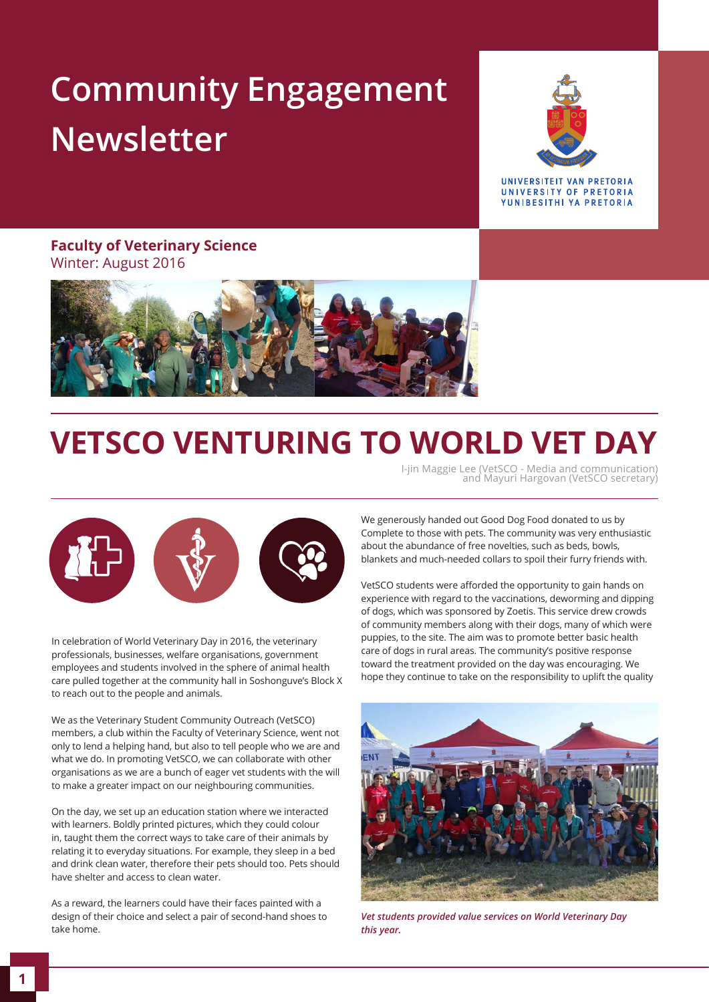# **Community Engagement Newsletter**



UNIVERSITEIT VAN PRETORIA UNIVERSITY OF PRETORIA YUNIBESITHI YA PRETORIA

### **Faculty of Veterinary Science**  Winter: August 2016



### **VETSCO VENTURING TO WORLD VET DAY**

I-jin Maggie Lee (VetSCO - Media and communication) and Mayuri Hargovan (VetSCO secretary)



In celebration of World Veterinary Day in 2016, the veterinary professionals, businesses, welfare organisations, government employees and students involved in the sphere of animal health care pulled together at the community hall in Soshonguve's Block X to reach out to the people and animals.

We as the Veterinary Student Community Outreach (VetSCO) members, a club within the Faculty of Veterinary Science, went not only to lend a helping hand, but also to tell people who we are and what we do. In promoting VetSCO, we can collaborate with other organisations as we are a bunch of eager vet students with the will to make a greater impact on our neighbouring communities.

On the day, we set up an education station where we interacted with learners. Boldly printed pictures, which they could colour in, taught them the correct ways to take care of their animals by relating it to everyday situations. For example, they sleep in a bed and drink clean water, therefore their pets should too. Pets should have shelter and access to clean water.

As a reward, the learners could have their faces painted with a design of their choice and select a pair of second-hand shoes to take home.

We generously handed out Good Dog Food donated to us by Complete to those with pets. The community was very enthusiastic about the abundance of free novelties, such as beds, bowls, blankets and much-needed collars to spoil their furry friends with.

VetSCO students were afforded the opportunity to gain hands on experience with regard to the vaccinations, deworming and dipping of dogs, which was sponsored by Zoetis. This service drew crowds of community members along with their dogs, many of which were puppies, to the site. The aim was to promote better basic health care of dogs in rural areas. The community's positive response toward the treatment provided on the day was encouraging. We hope they continue to take on the responsibility to uplift the quality



*Vet students provided value services on World Veterinary Day this year.*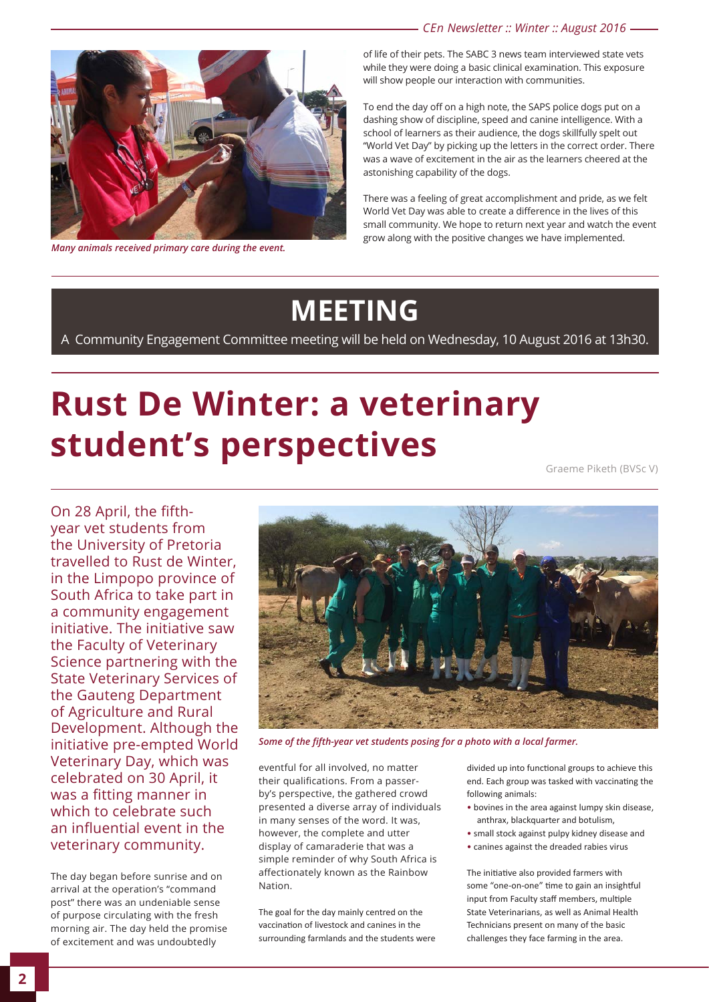*CEn Newsletter :: Winter :: August 2016*



*Many animals received primary care during the event.*

of life of their pets. The SABC 3 news team interviewed state vets while they were doing a basic clinical examination. This exposure will show people our interaction with communities.

To end the day off on a high note, the SAPS police dogs put on a dashing show of discipline, speed and canine intelligence. With a school of learners as their audience, the dogs skillfully spelt out "World Vet Day" by picking up the letters in the correct order. There was a wave of excitement in the air as the learners cheered at the astonishing capability of the dogs.

There was a feeling of great accomplishment and pride, as we felt World Vet Day was able to create a difference in the lives of this small community. We hope to return next year and watch the event grow along with the positive changes we have implemented.

### **MEETING**

A Community Engagement Committee meeting will be held on Wednesday, 10 August 2016 at 13h30.

## **Rust De Winter: a veterinary student's perspectives**

Graeme Piketh (BVSc V)

On 28 April, the fifthyear vet students from the University of Pretoria travelled to Rust de Winter, in the Limpopo province of South Africa to take part in a community engagement initiative. The initiative saw the Faculty of Veterinary Science partnering with the State Veterinary Services of the Gauteng Department of Agriculture and Rural Development. Although the initiative pre-empted World Veterinary Day, which was celebrated on 30 April, it was a fitting manner in which to celebrate such an influential event in the veterinary community.

The day began before sunrise and on arrival at the operation's "command post" there was an undeniable sense of purpose circulating with the fresh morning air. The day held the promise of excitement and was undoubtedly



*Some of the fifth-year vet students posing for a photo with a local farmer.*

eventful for all involved, no matter their qualifications. From a passerby's perspective, the gathered crowd presented a diverse array of individuals in many senses of the word. It was, however, the complete and utter display of camaraderie that was a simple reminder of why South Africa is affectionately known as the Rainbow Nation.

The goal for the day mainly centred on the vaccination of livestock and canines in the surrounding farmlands and the students were divided up into functional groups to achieve this end. Each group was tasked with vaccinating the following animals:

- bovines in the area against lumpy skin disease, anthrax, blackquarter and botulism,
- small stock against pulpy kidney disease and
- canines against the dreaded rabies virus

The initiative also provided farmers with some "one-on-one" time to gain an insightful input from Faculty staff members, multiple State Veterinarians, as well as Animal Health Technicians present on many of the basic challenges they face farming in the area.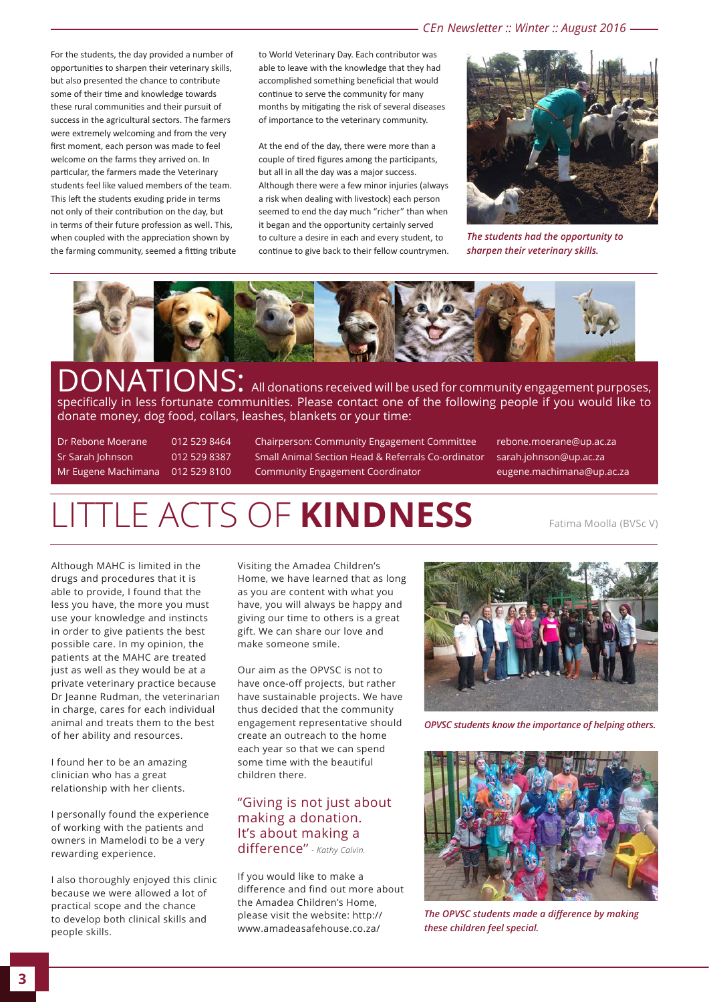For the students, the day provided a number of opportunities to sharpen their veterinary skills, but also presented the chance to contribute some of their time and knowledge towards these rural communities and their pursuit of success in the agricultural sectors. The farmers were extremely welcoming and from the very first moment, each person was made to feel welcome on the farms they arrived on. In particular, the farmers made the Veterinary students feel like valued members of the team. This left the students exuding pride in terms not only of their contribution on the day, but in terms of their future profession as well. This, when coupled with the appreciation shown by the farming community, seemed a fitting tribute to World Veterinary Day. Each contributor was able to leave with the knowledge that they had accomplished something beneficial that would continue to serve the community for many months by mitigating the risk of several diseases of importance to the veterinary community.

At the end of the day, there were more than a couple of tired figures among the participants, but all in all the day was a major success. Although there were a few minor injuries (always a risk when dealing with livestock) each person seemed to end the day much "richer" than when it began and the opportunity certainly served to culture a desire in each and every student, to continue to give back to their fellow countrymen.



*The students had the opportunity to sharpen their veterinary skills.*



DONATIONS: All donations received will be used for community engagement purposes, specifically in less fortunate communities. Please contact one of the following people if you would like to donate money, dog food, collars, leashes, blankets or your time:

Dr Rebone Moerane 012 529 8464 Chairperson: Community Engagement Committee rebone.moerane@up.ac.za Sr Sarah Johnson 012 529 8387 Small Animal Section Head & Referrals Co-ordinator sarah.johnson@up.ac.za Mr Eugene Machimana 012 529 8100 Community Engagement Coordinator eugene.machimana@up.ac.za

### LITTLE ACTS OF **KINDNESS**

Fatima Moolla (BVSc V)

Although MAHC is limited in the drugs and procedures that it is able to provide, I found that the less you have, the more you must use your knowledge and instincts in order to give patients the best possible care. In my opinion, the patients at the MAHC are treated just as well as they would be at a private veterinary practice because Dr Jeanne Rudman, the veterinarian in charge, cares for each individual animal and treats them to the best of her ability and resources.

I found her to be an amazing clinician who has a great relationship with her clients.

I personally found the experience of working with the patients and owners in Mamelodi to be a very rewarding experience.

I also thoroughly enjoyed this clinic because we were allowed a lot of practical scope and the chance to develop both clinical skills and people skills.

Visiting the Amadea Children's Home, we have learned that as long as you are content with what you have, you will always be happy and giving our time to others is a great gift. We can share our love and make someone smile.

Our aim as the OPVSC is not to have once-off projects, but rather have sustainable projects. We have thus decided that the community engagement representative should create an outreach to the home each year so that we can spend some time with the beautiful children there.

#### "Giving is not just about making a donation. It's about making a difference'' *- Kathy Calvin.*

If you would like to make a difference and find out more about the Amadea Children's Home, please visit the website: http:// www.amadeasafehouse.co.za/



*OPVSC students know the importance of helping others.*



*The OPVSC students made a difference by making these children feel special.*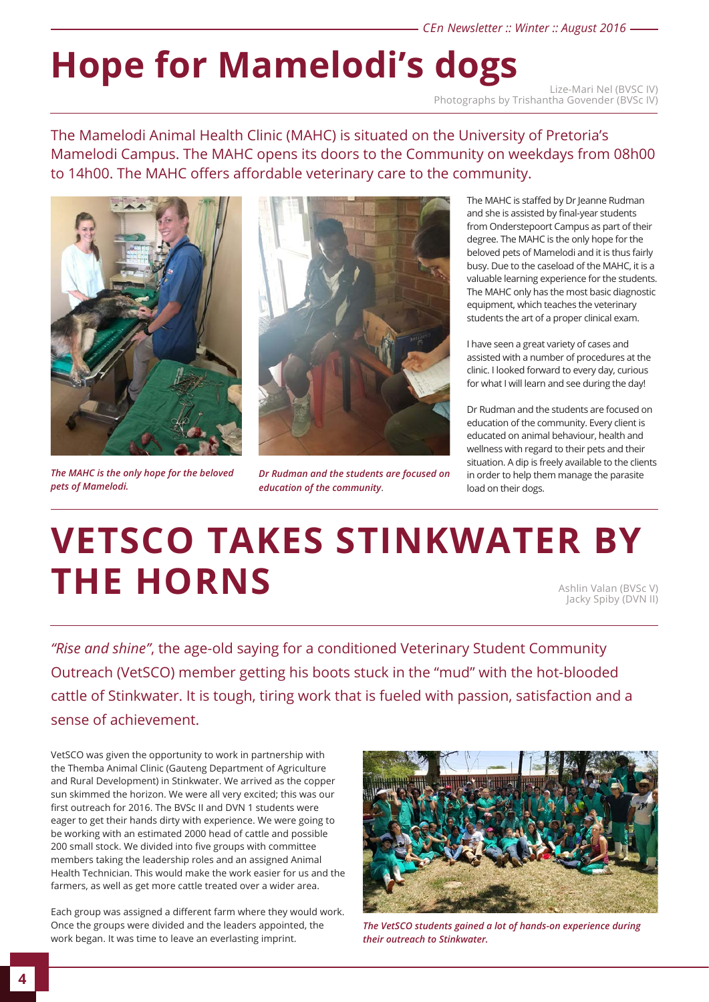#### *CEn Newsletter :: Winter :: August 2016*

# Hope for Mamelodi's dogs

Photographs by Trishantha Govender (BVSc IV)

The Mamelodi Animal Health Clinic (MAHC) is situated on the University of Pretoria's Mamelodi Campus. The MAHC opens its doors to the Community on weekdays from 08h00 to 14h00. The MAHC offers affordable veterinary care to the community.



*The MAHC is the only hope for the beloved pets of Mamelodi.*



*Dr Rudman and the students are focused on education of the community*.

The MAHC is staffed by Dr Jeanne Rudman and she is assisted by final-year students from Onderstepoort Campus as part of their degree. The MAHC is the only hope for the beloved pets of Mamelodi and it is thus fairly busy. Due to the caseload of the MAHC, it is a valuable learning experience for the students. The MAHC only has the most basic diagnostic equipment, which teaches the veterinary students the art of a proper clinical exam.

I have seen a great variety of cases and assisted with a number of procedures at the clinic. I looked forward to every day, curious for what I will learn and see during the day!

Dr Rudman and the students are focused on education of the community. Every client is educated on animal behaviour, health and wellness with regard to their pets and their situation. A dip is freely available to the clients in order to help them manage the parasite load on their dogs.

# **VETSCO TAKES STINKWATER BY THE HORNS** Ashlin Valan (BVSc V)

Jacky Spiby (DVN II)

*"Rise and shine"*, the age-old saying for a conditioned Veterinary Student Community Outreach (VetSCO) member getting his boots stuck in the "mud" with the hot-blooded cattle of Stinkwater. It is tough, tiring work that is fueled with passion, satisfaction and a sense of achievement.

VetSCO was given the opportunity to work in partnership with the Themba Animal Clinic (Gauteng Department of Agriculture and Rural Development) in Stinkwater. We arrived as the copper sun skimmed the horizon. We were all very excited; this was our first outreach for 2016. The BVSc II and DVN 1 students were eager to get their hands dirty with experience. We were going to be working with an estimated 2000 head of cattle and possible 200 small stock. We divided into five groups with committee members taking the leadership roles and an assigned Animal Health Technician. This would make the work easier for us and the farmers, as well as get more cattle treated over a wider area.

Each group was assigned a different farm where they would work. Once the groups were divided and the leaders appointed, the work began. It was time to leave an everlasting imprint.



*The VetSCO students gained a lot of hands-on experience during their outreach to Stinkwater.*